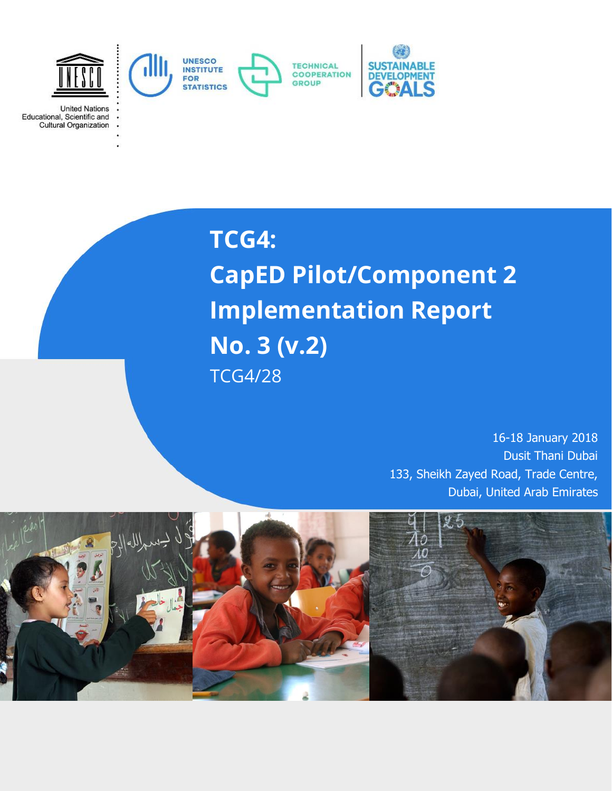

**United Nations** Educational, Scientific and Cultural Organization

> **TCG4: CapED Pilot/Component 2 Implementation Report No. 3 (v.2)**  TCG4/28

> > 16-18 January 2018 Dusit Thani Dubai 133, Sheikh Zayed Road, Trade Centre, Dubai, United Arab Emirates

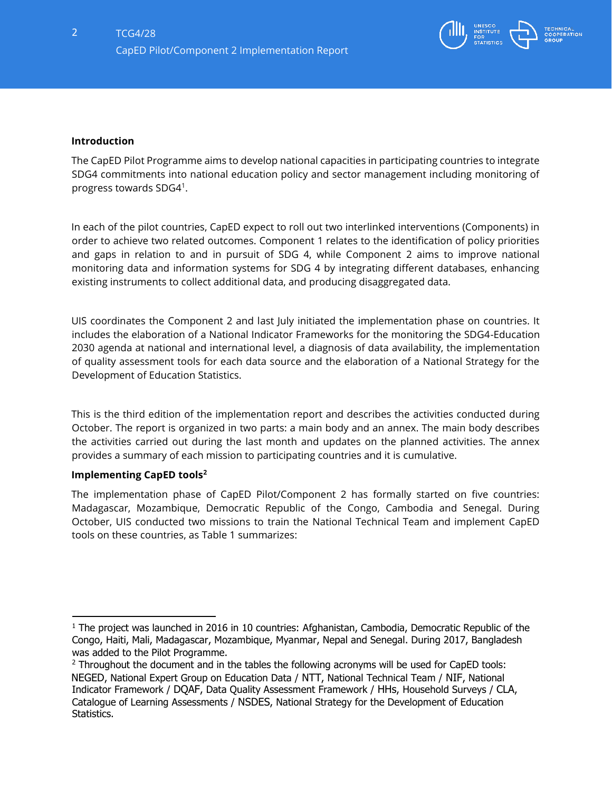

### **Introduction**

The CapED Pilot Programme aims to develop national capacities in participating countries to integrate SDG4 commitments into national education policy and sector management including monitoring of progress towards SDG4<sup>1</sup> .

In each of the pilot countries, CapED expect to roll out two interlinked interventions (Components) in order to achieve two related outcomes. Component 1 relates to the identification of policy priorities and gaps in relation to and in pursuit of SDG 4, while Component 2 aims to improve national monitoring data and information systems for SDG 4 by integrating different databases, enhancing existing instruments to collect additional data, and producing disaggregated data.

UIS coordinates the Component 2 and last July initiated the implementation phase on countries. It includes the elaboration of a National Indicator Frameworks for the monitoring the SDG4-Education 2030 agenda at national and international level, a diagnosis of data availability, the implementation of quality assessment tools for each data source and the elaboration of a National Strategy for the Development of Education Statistics.

This is the third edition of the implementation report and describes the activities conducted during October. The report is organized in two parts: a main body and an annex. The main body describes the activities carried out during the last month and updates on the planned activities. The annex provides a summary of each mission to participating countries and it is cumulative.

### **Implementing CapED tools<sup>2</sup>**

The implementation phase of CapED Pilot/Component 2 has formally started on five countries: Madagascar, Mozambique, Democratic Republic of the Congo, Cambodia and Senegal. During October, UIS conducted two missions to train the National Technical Team and implement CapED tools on these countries, as Table 1 summarizes:

 $1$  The project was launched in 2016 in 10 countries: [Afghanistan,](http://uis.unesco.org/en/country/af) [Cambodia,](http://uis.unesco.org/country/kh) Democratic Republic of the [Congo,](http://uis.unesco.org/en/country/cd) [Haiti,](http://uis.unesco.org/country/ht) [Mali,](http://uis.unesco.org/country/ml) [Madagascar,](http://uis.unesco.org/country/mg) [Mozambique,](http://uis.unesco.org/en/country/mz) [Myanmar,](http://uis.unesco.org/en/country/mm) [Nepal](http://uis.unesco.org/country/np) an[d](http://uis.unesco.org/en/country/sn) [Senegal.](http://uis.unesco.org/en/country/sn) During 2017, Bangladesh was added to the Pilot Programme.

<sup>&</sup>lt;sup>2</sup> Throughout the document and in the tables the following acronyms will be used for CapED tools: NEGED, National Expert Group on Education Data / NTT, National Technical Team / NIF, National Indicator Framework / DQAF, Data Quality Assessment Framework / HHs, Household Surveys / CLA, Catalogue of Learning Assessments / NSDES, National Strategy for the Development of Education Statistics.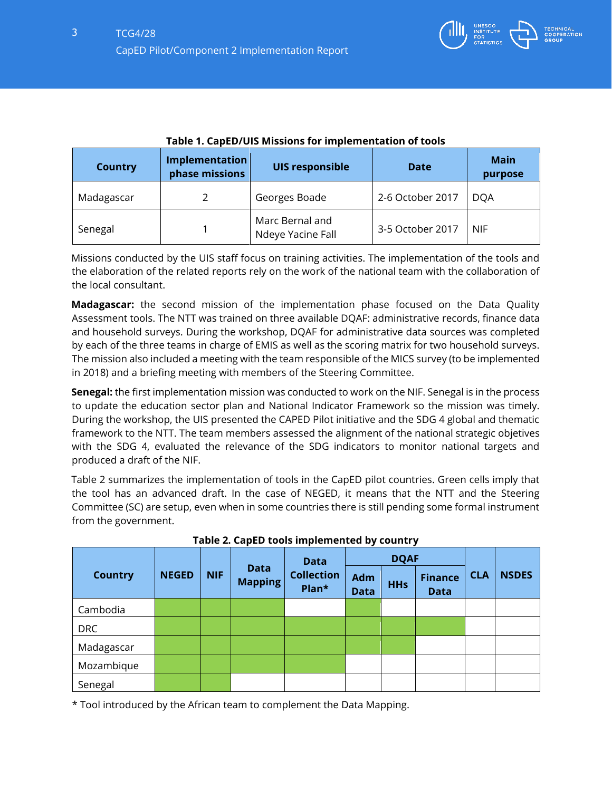

| <b>Country</b> | Implementation<br>phase missions | <b>UIS responsible</b>               | <b>Date</b>      | <b>Main</b><br>purpose |
|----------------|----------------------------------|--------------------------------------|------------------|------------------------|
| Madagascar     |                                  | Georges Boade                        | 2-6 October 2017 | <b>DOA</b>             |
| Senegal        |                                  | Marc Bernal and<br>Ndeye Yacine Fall | 3-5 October 2017 | <b>NIF</b>             |

| Table 1. CapED/UIS Missions for implementation of tools |
|---------------------------------------------------------|
|---------------------------------------------------------|

Missions conducted by the UIS staff focus on training activities. The implementation of the tools and the elaboration of the related reports rely on the work of the national team with the collaboration of the local consultant.

**Madagascar:** the second mission of the implementation phase focused on the Data Quality Assessment tools. The NTT was trained on three available DQAF: administrative records, finance data and household surveys. During the workshop, DQAF for administrative data sources was completed by each of the three teams in charge of EMIS as well as the scoring matrix for two household surveys. The mission also included a meeting with the team responsible of the MICS survey (to be implemented in 2018) and a briefing meeting with members of the Steering Committee.

**Senegal:** the first implementation mission was conducted to work on the NIF. Senegal is in the process to update the education sector plan and National Indicator Framework so the mission was timely. During the workshop, the UIS presented the CAPED Pilot initiative and the SDG 4 global and thematic framework to the NTT. The team members assessed the alignment of the national strategic objetives with the SDG 4, evaluated the relevance of the SDG indicators to monitor national targets and produced a draft of the NIF.

Table 2 summarizes the implementation of tools in the CapED pilot countries. Green cells imply that the tool has an advanced draft. In the case of NEGED, it means that the NTT and the Steering Committee (SC) are setup, even when in some countries there is still pending some formal instrument from the government.

|                |              |            | <b>Data</b>                   |                            | <b>DQAF</b>        |            |                               |            |              |
|----------------|--------------|------------|-------------------------------|----------------------------|--------------------|------------|-------------------------------|------------|--------------|
| <b>Country</b> | <b>NEGED</b> | <b>NIF</b> | <b>Data</b><br><b>Mapping</b> | <b>Collection</b><br>Plan* | Adm<br><b>Data</b> | <b>HHs</b> | <b>Finance</b><br><b>Data</b> | <b>CLA</b> | <b>NSDES</b> |
| Cambodia       |              |            |                               |                            |                    |            |                               |            |              |
| <b>DRC</b>     |              |            |                               |                            |                    |            |                               |            |              |
| Madagascar     |              |            |                               |                            |                    |            |                               |            |              |
| Mozambique     |              |            |                               |                            |                    |            |                               |            |              |
| Senegal        |              |            |                               |                            |                    |            |                               |            |              |

**Table 2. CapED tools implemented by country** 

\* Tool introduced by the African team to complement the Data Mapping.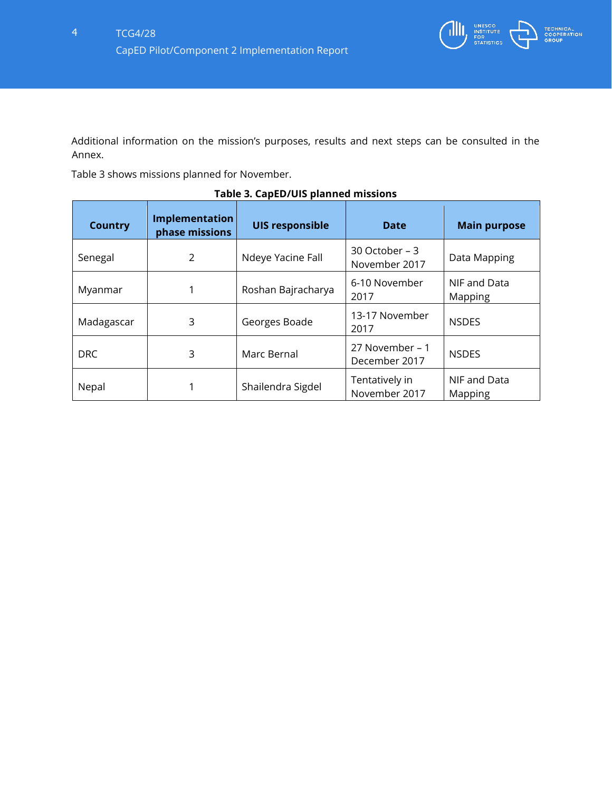

Additional information on the mission's purposes, results and next steps can be consulted in the Annex.

Table 3 shows missions planned for November.

| <b>Country</b> | Implementation<br>phase missions | <b>UIS responsible</b> | <b>Date</b>                      | <b>Main purpose</b>     |
|----------------|----------------------------------|------------------------|----------------------------------|-------------------------|
| Senegal        | 2                                | Ndeye Yacine Fall      | 30 October – 3<br>November 2017  | Data Mapping            |
| Myanmar        |                                  | Roshan Bajracharya     | 6-10 November<br>2017            | NIF and Data<br>Mapping |
| Madagascar     | 3                                | Georges Boade          | 13-17 November<br>2017           | <b>NSDES</b>            |
| <b>DRC</b>     | 3                                | Marc Bernal            | 27 November - 1<br>December 2017 | <b>NSDES</b>            |
| Nepal          | 1                                | Shailendra Sigdel      | Tentatively in<br>November 2017  | NIF and Data<br>Mapping |

# **Table 3. CapED/UIS planned missions**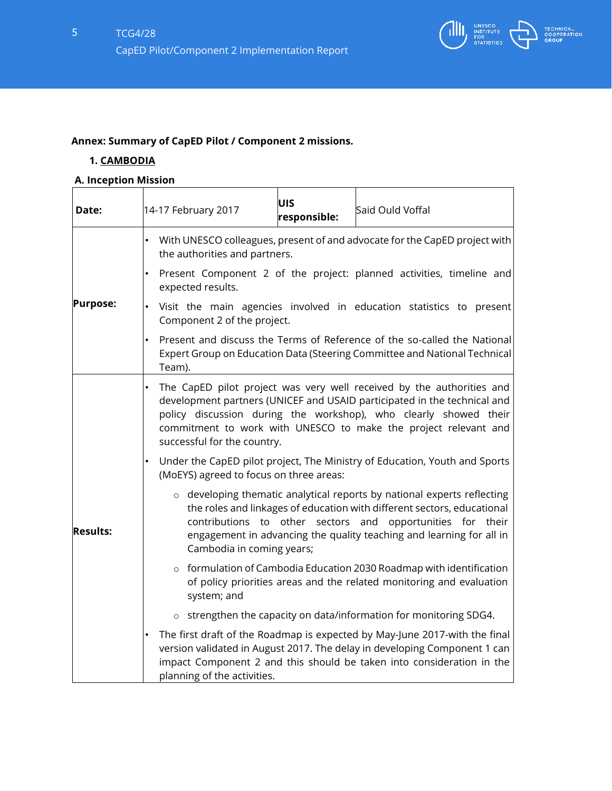

# **Annex: Summary of CapED Pilot / Component 2 missions.**

# **1. CAMBODIA**

# **A. Inception Mission**

| Date:           | 14-17 February 2017                                             | UIS<br>responsible: | Said Ould Voffal                                                                                                                                                                                                                                                                         |
|-----------------|-----------------------------------------------------------------|---------------------|------------------------------------------------------------------------------------------------------------------------------------------------------------------------------------------------------------------------------------------------------------------------------------------|
|                 | the authorities and partners.                                   |                     | With UNESCO colleagues, present of and advocate for the CapED project with                                                                                                                                                                                                               |
|                 | ٠<br>expected results.                                          |                     | Present Component 2 of the project: planned activities, timeline and                                                                                                                                                                                                                     |
| <b>Purpose:</b> | ٠<br>Component 2 of the project.                                |                     | Visit the main agencies involved in education statistics to present                                                                                                                                                                                                                      |
|                 | $\bullet$<br>Team).                                             |                     | Present and discuss the Terms of Reference of the so-called the National<br>Expert Group on Education Data (Steering Committee and National Technical                                                                                                                                    |
| <b>Results:</b> | successful for the country.                                     |                     | The CapED pilot project was very well received by the authorities and<br>development partners (UNICEF and USAID participated in the technical and<br>policy discussion during the workshop), who clearly showed their<br>commitment to work with UNESCO to make the project relevant and |
|                 | $\bullet$<br>(MoEYS) agreed to focus on three areas:            |                     | Under the CapED pilot project, The Ministry of Education, Youth and Sports                                                                                                                                                                                                               |
|                 | contributions to other sectors and<br>Cambodia in coming years; |                     | o developing thematic analytical reports by national experts reflecting<br>the roles and linkages of education with different sectors, educational<br>opportunities for their<br>engagement in advancing the quality teaching and learning for all in                                    |
|                 | system; and                                                     |                     | o formulation of Cambodia Education 2030 Roadmap with identification<br>of policy priorities areas and the related monitoring and evaluation                                                                                                                                             |
|                 | $\circ$                                                         |                     | strengthen the capacity on data/information for monitoring SDG4.                                                                                                                                                                                                                         |
|                 | planning of the activities.                                     |                     | The first draft of the Roadmap is expected by May-June 2017-with the final<br>version validated in August 2017. The delay in developing Component 1 can<br>impact Component 2 and this should be taken into consideration in the                                                         |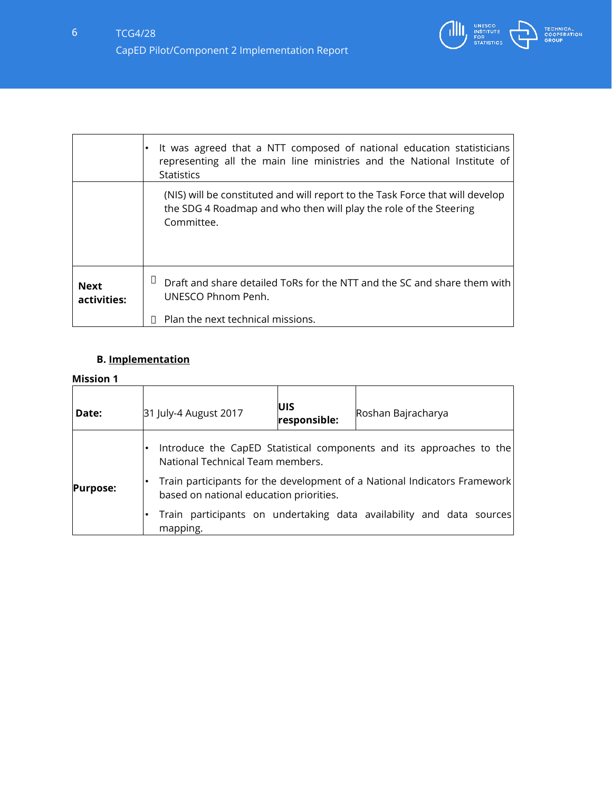

|                            | It was agreed that a NTT composed of national education statisticians<br>representing all the main line ministries and the National Institute of<br><b>Statistics</b> |
|----------------------------|-----------------------------------------------------------------------------------------------------------------------------------------------------------------------|
|                            | (NIS) will be constituted and will report to the Task Force that will develop<br>the SDG 4 Roadmap and who then will play the role of the Steering<br>Committee.      |
| <b>Next</b><br>activities: | Draft and share detailed ToRs for the NTT and the SC and share them with<br>UNESCO Phnom Penh.<br>Plan the next technical missions.                                   |

# **B. Implementation**

| Date:                                                                                                                                   | 31 July-4 August 2017            | <b>UIS</b><br>responsible: | Roshan Bajracharya                                                   |
|-----------------------------------------------------------------------------------------------------------------------------------------|----------------------------------|----------------------------|----------------------------------------------------------------------|
|                                                                                                                                         | National Technical Team members. |                            | Introduce the CapED Statistical components and its approaches to the |
| Train participants for the development of a National Indicators Framework<br><b>Purpose:</b><br>based on national education priorities. |                                  |                            |                                                                      |
|                                                                                                                                         | mapping.                         |                            | Train participants on undertaking data availability and data sources |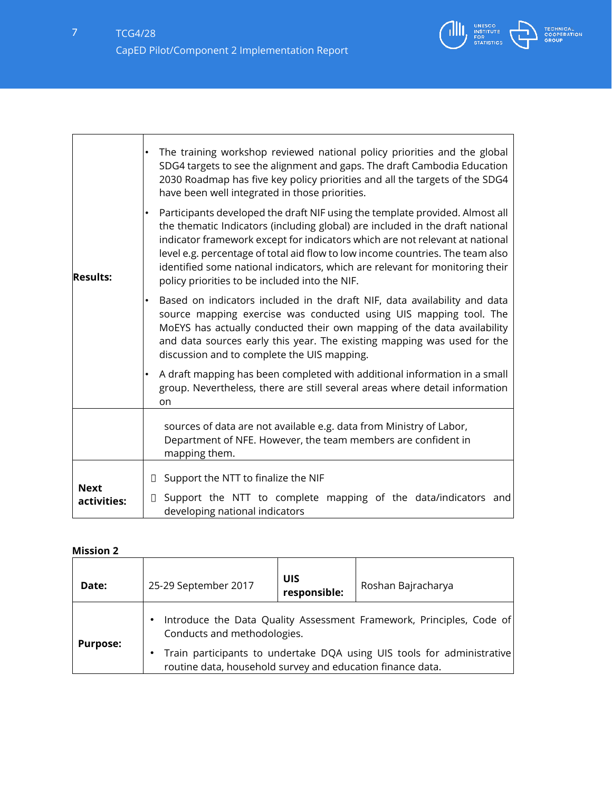

| <b>Results:</b>            | The training workshop reviewed national policy priorities and the global<br>SDG4 targets to see the alignment and gaps. The draft Cambodia Education<br>2030 Roadmap has five key policy priorities and all the targets of the SDG4<br>have been well integrated in those priorities.<br>Participants developed the draft NIF using the template provided. Almost all<br>the thematic Indicators (including global) are included in the draft national<br>indicator framework except for indicators which are not relevant at national<br>level e.g. percentage of total aid flow to low income countries. The team also<br>identified some national indicators, which are relevant for monitoring their<br>policy priorities to be included into the NIF.<br>Based on indicators included in the draft NIF, data availability and data<br>source mapping exercise was conducted using UIS mapping tool. The<br>MoEYS has actually conducted their own mapping of the data availability<br>and data sources early this year. The existing mapping was used for the<br>discussion and to complete the UIS mapping. |
|----------------------------|-------------------------------------------------------------------------------------------------------------------------------------------------------------------------------------------------------------------------------------------------------------------------------------------------------------------------------------------------------------------------------------------------------------------------------------------------------------------------------------------------------------------------------------------------------------------------------------------------------------------------------------------------------------------------------------------------------------------------------------------------------------------------------------------------------------------------------------------------------------------------------------------------------------------------------------------------------------------------------------------------------------------------------------------------------------------------------------------------------------------|
|                            | A draft mapping has been completed with additional information in a small<br>$\bullet$<br>group. Nevertheless, there are still several areas where detail information<br>on                                                                                                                                                                                                                                                                                                                                                                                                                                                                                                                                                                                                                                                                                                                                                                                                                                                                                                                                       |
|                            | sources of data are not available e.g. data from Ministry of Labor,<br>Department of NFE. However, the team members are confident in<br>mapping them.                                                                                                                                                                                                                                                                                                                                                                                                                                                                                                                                                                                                                                                                                                                                                                                                                                                                                                                                                             |
| <b>Next</b><br>activities: | Support the NTT to finalize the NIF<br>◧<br>Support the NTT to complete mapping of the data/indicators and<br>$\Box$<br>developing national indicators                                                                                                                                                                                                                                                                                                                                                                                                                                                                                                                                                                                                                                                                                                                                                                                                                                                                                                                                                            |

| Date:           | 25-29 September 2017                                                                                                                                                                                                                             | UIS<br>responsible: | Roshan Bajracharya |
|-----------------|--------------------------------------------------------------------------------------------------------------------------------------------------------------------------------------------------------------------------------------------------|---------------------|--------------------|
| <b>Purpose:</b> | Introduce the Data Quality Assessment Framework, Principles, Code of<br>Conducts and methodologies.<br>Train participants to undertake DQA using UIS tools for administrative<br>٠<br>routine data, household survey and education finance data. |                     |                    |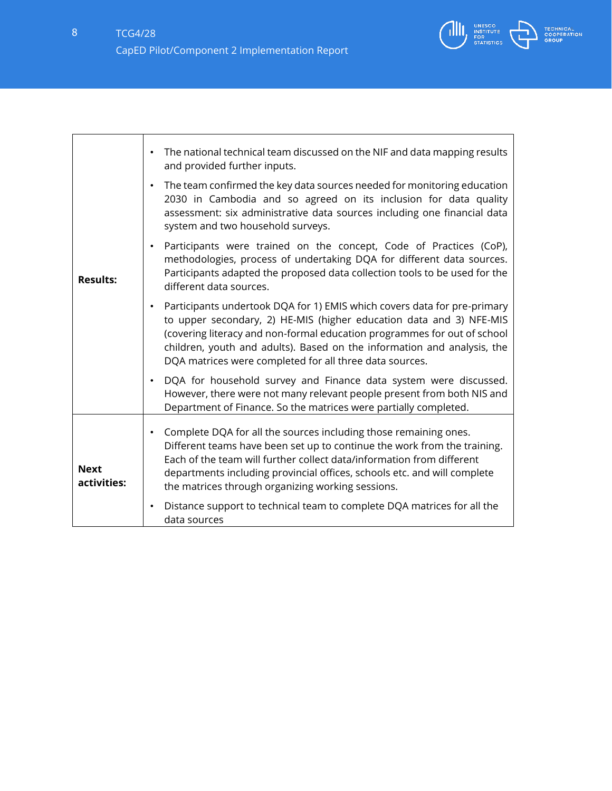

٦

|                            | The national technical team discussed on the NIF and data mapping results<br>$\bullet$<br>and provided further inputs.                                                                                                                                                                                                                                                         |
|----------------------------|--------------------------------------------------------------------------------------------------------------------------------------------------------------------------------------------------------------------------------------------------------------------------------------------------------------------------------------------------------------------------------|
| <b>Results:</b>            | The team confirmed the key data sources needed for monitoring education<br>$\bullet$<br>2030 in Cambodia and so agreed on its inclusion for data quality<br>assessment: six administrative data sources including one financial data<br>system and two household surveys.                                                                                                      |
|                            | Participants were trained on the concept, Code of Practices (CoP),<br>$\bullet$<br>methodologies, process of undertaking DQA for different data sources.<br>Participants adapted the proposed data collection tools to be used for the<br>different data sources.                                                                                                              |
|                            | Participants undertook DQA for 1) EMIS which covers data for pre-primary<br>$\bullet$<br>to upper secondary, 2) HE-MIS (higher education data and 3) NFE-MIS<br>(covering literacy and non-formal education programmes for out of school<br>children, youth and adults). Based on the information and analysis, the<br>DQA matrices were completed for all three data sources. |
|                            | DQA for household survey and Finance data system were discussed.<br>$\bullet$<br>However, there were not many relevant people present from both NIS and<br>Department of Finance. So the matrices were partially completed.                                                                                                                                                    |
| <b>Next</b><br>activities: | Complete DQA for all the sources including those remaining ones.<br>$\bullet$<br>Different teams have been set up to continue the work from the training.<br>Each of the team will further collect data/information from different<br>departments including provincial offices, schools etc. and will complete<br>the matrices through organizing working sessions.            |
|                            | Distance support to technical team to complete DQA matrices for all the<br>$\bullet$<br>data sources                                                                                                                                                                                                                                                                           |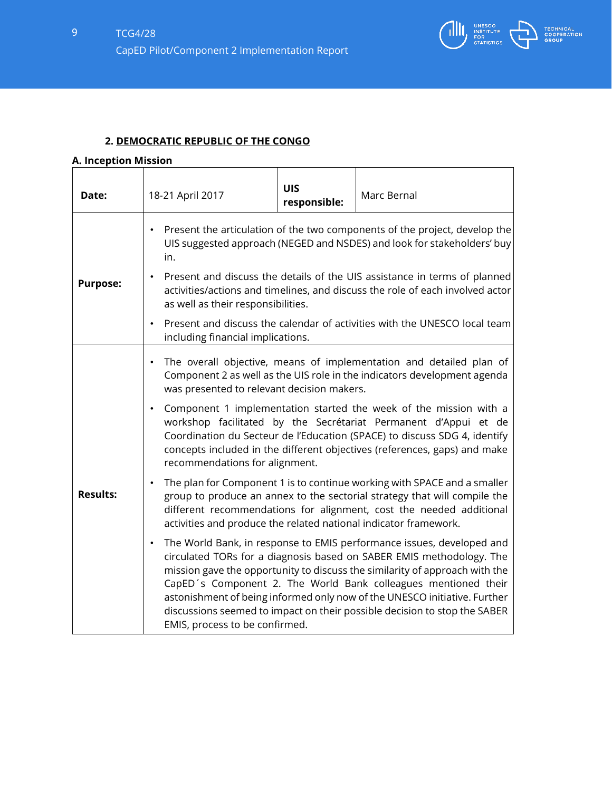

# **2. DEMOCRATIC REPUBLIC OF THE CONGO**

# **A. Inception Mission**

| Date:                                                                                                                                                                                                                                                                                                               | 18-21 April 2017                                                                                                                                                                                              | <b>UIS</b><br>responsible: | Marc Bernal                                                                                                                                                                                                                                                                                                                                                                                                                                              |  |
|---------------------------------------------------------------------------------------------------------------------------------------------------------------------------------------------------------------------------------------------------------------------------------------------------------------------|---------------------------------------------------------------------------------------------------------------------------------------------------------------------------------------------------------------|----------------------------|----------------------------------------------------------------------------------------------------------------------------------------------------------------------------------------------------------------------------------------------------------------------------------------------------------------------------------------------------------------------------------------------------------------------------------------------------------|--|
|                                                                                                                                                                                                                                                                                                                     | Present the articulation of the two components of the project, develop the<br>UIS suggested approach (NEGED and NSDES) and look for stakeholders' buy<br>in.                                                  |                            |                                                                                                                                                                                                                                                                                                                                                                                                                                                          |  |
| <b>Purpose:</b>                                                                                                                                                                                                                                                                                                     | Present and discuss the details of the UIS assistance in terms of planned<br>$\bullet$<br>activities/actions and timelines, and discuss the role of each involved actor<br>as well as their responsibilities. |                            |                                                                                                                                                                                                                                                                                                                                                                                                                                                          |  |
|                                                                                                                                                                                                                                                                                                                     | Present and discuss the calendar of activities with the UNESCO local team<br>$\bullet$<br>including financial implications.                                                                                   |                            |                                                                                                                                                                                                                                                                                                                                                                                                                                                          |  |
|                                                                                                                                                                                                                                                                                                                     | was presented to relevant decision makers.                                                                                                                                                                    |                            | The overall objective, means of implementation and detailed plan of<br>Component 2 as well as the UIS role in the indicators development agenda                                                                                                                                                                                                                                                                                                          |  |
|                                                                                                                                                                                                                                                                                                                     | $\bullet$<br>recommendations for alignment.                                                                                                                                                                   |                            | Component 1 implementation started the week of the mission with a<br>workshop facilitated by the Secrétariat Permanent d'Appui et de<br>Coordination du Secteur de l'Education (SPACE) to discuss SDG 4, identify<br>concepts included in the different objectives (references, gaps) and make                                                                                                                                                           |  |
| The plan for Component 1 is to continue working with SPACE and a smaller<br><b>Results:</b><br>group to produce an annex to the sectorial strategy that will compile the<br>different recommendations for alignment, cost the needed additional<br>activities and produce the related national indicator framework. |                                                                                                                                                                                                               |                            |                                                                                                                                                                                                                                                                                                                                                                                                                                                          |  |
|                                                                                                                                                                                                                                                                                                                     | $\bullet$<br>EMIS, process to be confirmed.                                                                                                                                                                   |                            | The World Bank, in response to EMIS performance issues, developed and<br>circulated TORs for a diagnosis based on SABER EMIS methodology. The<br>mission gave the opportunity to discuss the similarity of approach with the<br>CapED's Component 2. The World Bank colleagues mentioned their<br>astonishment of being informed only now of the UNESCO initiative. Further<br>discussions seemed to impact on their possible decision to stop the SABER |  |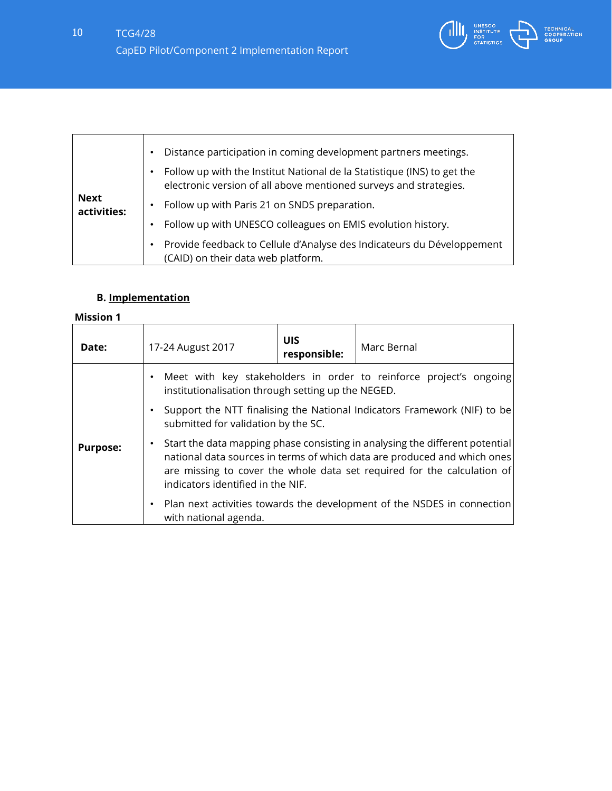

|                            | Distance participation in coming development partners meetings.                                                                              |
|----------------------------|----------------------------------------------------------------------------------------------------------------------------------------------|
|                            | Follow up with the Institut National de la Statistique (INS) to get the<br>electronic version of all above mentioned surveys and strategies. |
| <b>Next</b><br>activities: | Follow up with Paris 21 on SNDS preparation.                                                                                                 |
|                            | Follow up with UNESCO colleagues on EMIS evolution history.                                                                                  |
|                            | Provide feedback to Cellule d'Analyse des Indicateurs du Développement<br>(CAID) on their data web platform.                                 |

# **B. Implementation**

| Date:                                                                                                                                                                                                                                                                                            | 17-24 August 2017                                                                                                                     | <b>UIS</b><br>responsible: | Marc Bernal |  |  |
|--------------------------------------------------------------------------------------------------------------------------------------------------------------------------------------------------------------------------------------------------------------------------------------------------|---------------------------------------------------------------------------------------------------------------------------------------|----------------------------|-------------|--|--|
|                                                                                                                                                                                                                                                                                                  | Meet with key stakeholders in order to reinforce project's ongoing<br>$\bullet$<br>institutionalisation through setting up the NEGED. |                            |             |  |  |
|                                                                                                                                                                                                                                                                                                  | Support the NTT finalising the National Indicators Framework (NIF) to be<br>submitted for validation by the SC.                       |                            |             |  |  |
| Start the data mapping phase consisting in analysing the different potential<br>٠<br><b>Purpose:</b><br>national data sources in terms of which data are produced and which ones<br>are missing to cover the whole data set required for the calculation of<br>indicators identified in the NIF. |                                                                                                                                       |                            |             |  |  |
|                                                                                                                                                                                                                                                                                                  | Plan next activities towards the development of the NSDES in connection<br>٠<br>with national agenda.                                 |                            |             |  |  |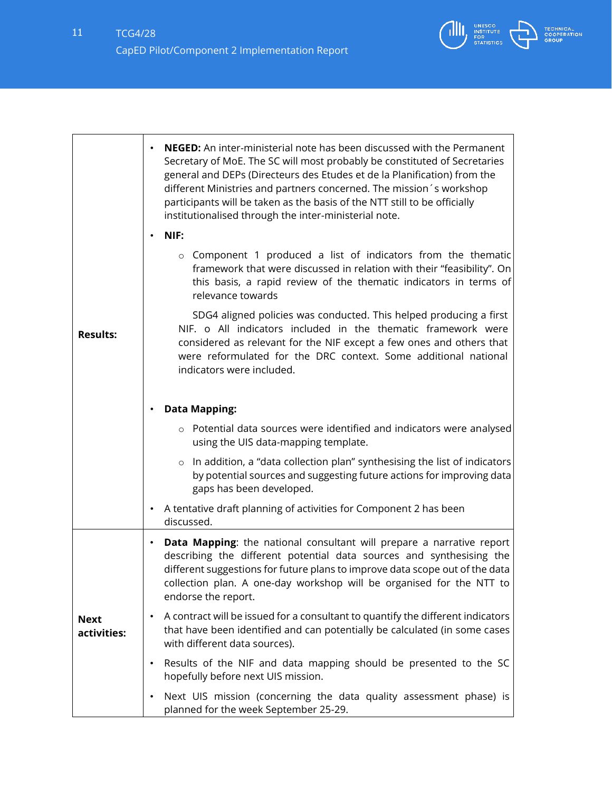

|                            | <b>NEGED:</b> An inter-ministerial note has been discussed with the Permanent<br>Secretary of MoE. The SC will most probably be constituted of Secretaries<br>general and DEPs (Directeurs des Etudes et de la Planification) from the<br>different Ministries and partners concerned. The mission's workshop<br>participants will be taken as the basis of the NTT still to be officially<br>institutionalised through the inter-ministerial note. |
|----------------------------|-----------------------------------------------------------------------------------------------------------------------------------------------------------------------------------------------------------------------------------------------------------------------------------------------------------------------------------------------------------------------------------------------------------------------------------------------------|
|                            | NIF:                                                                                                                                                                                                                                                                                                                                                                                                                                                |
|                            | o Component 1 produced a list of indicators from the thematic<br>framework that were discussed in relation with their "feasibility". On<br>this basis, a rapid review of the thematic indicators in terms of<br>relevance towards                                                                                                                                                                                                                   |
| <b>Results:</b>            | SDG4 aligned policies was conducted. This helped producing a first<br>NIF. o All indicators included in the thematic framework were<br>considered as relevant for the NIF except a few ones and others that<br>were reformulated for the DRC context. Some additional national<br>indicators were included.                                                                                                                                         |
|                            | <b>Data Mapping:</b>                                                                                                                                                                                                                                                                                                                                                                                                                                |
|                            | o Potential data sources were identified and indicators were analysed<br>using the UIS data-mapping template.                                                                                                                                                                                                                                                                                                                                       |
|                            | In addition, a "data collection plan" synthesising the list of indicators<br>$\circ$<br>by potential sources and suggesting future actions for improving data<br>gaps has been developed.                                                                                                                                                                                                                                                           |
|                            | A tentative draft planning of activities for Component 2 has been<br>٠<br>discussed.                                                                                                                                                                                                                                                                                                                                                                |
|                            | Data Mapping: the national consultant will prepare a narrative report<br>$\bullet$<br>describing the different potential data sources and synthesising the<br>different suggestions for future plans to improve data scope out of the data<br>collection plan. A one-day workshop will be organised for the NTT to<br>endorse the report.                                                                                                           |
| <b>Next</b><br>activities: | A contract will be issued for a consultant to quantify the different indicators<br>$\bullet$<br>that have been identified and can potentially be calculated (in some cases<br>with different data sources).                                                                                                                                                                                                                                         |
|                            | Results of the NIF and data mapping should be presented to the SC<br>$\bullet$<br>hopefully before next UIS mission.                                                                                                                                                                                                                                                                                                                                |
|                            | Next UIS mission (concerning the data quality assessment phase) is<br>$\bullet$<br>planned for the week September 25-29.                                                                                                                                                                                                                                                                                                                            |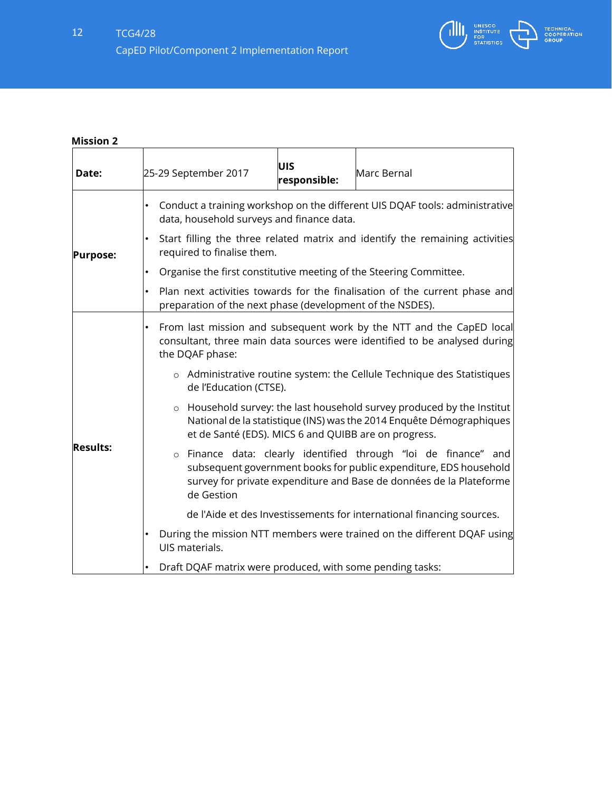

| Date:           | UIS<br>25-29 September 2017<br>Marc Bernal<br>responsible:                                                                                                                                                                |  |  |  |
|-----------------|---------------------------------------------------------------------------------------------------------------------------------------------------------------------------------------------------------------------------|--|--|--|
|                 | Conduct a training workshop on the different UIS DQAF tools: administrative<br>data, household surveys and finance data.                                                                                                  |  |  |  |
| <b>Purpose:</b> | Start filling the three related matrix and identify the remaining activities<br>required to finalise them.                                                                                                                |  |  |  |
|                 | Organise the first constitutive meeting of the Steering Committee.<br>$\bullet$                                                                                                                                           |  |  |  |
|                 | Plan next activities towards for the finalisation of the current phase and<br>preparation of the next phase (development of the NSDES).                                                                                   |  |  |  |
|                 | From last mission and subsequent work by the NTT and the CapED local<br>$\bullet$<br>consultant, three main data sources were identified to be analysed during<br>the DQAF phase:                                         |  |  |  |
| <b>Results:</b> | o Administrative routine system: the Cellule Technique des Statistiques<br>de l'Education (CTSE).                                                                                                                         |  |  |  |
|                 | Household survey: the last household survey produced by the Institut<br>$\circ$<br>National de la statistique (INS) was the 2014 Enquête Démographiques<br>et de Santé (EDS). MICS 6 and QUIBB are on progress.           |  |  |  |
|                 | o Finance data: clearly identified through "loi de finance" and<br>subsequent government books for public expenditure, EDS household<br>survey for private expenditure and Base de données de la Plateforme<br>de Gestion |  |  |  |
|                 | de l'Aide et des Investissements for international financing sources.                                                                                                                                                     |  |  |  |
|                 | During the mission NTT members were trained on the different DQAF using<br>UIS materials.                                                                                                                                 |  |  |  |
|                 | Draft DQAF matrix were produced, with some pending tasks:                                                                                                                                                                 |  |  |  |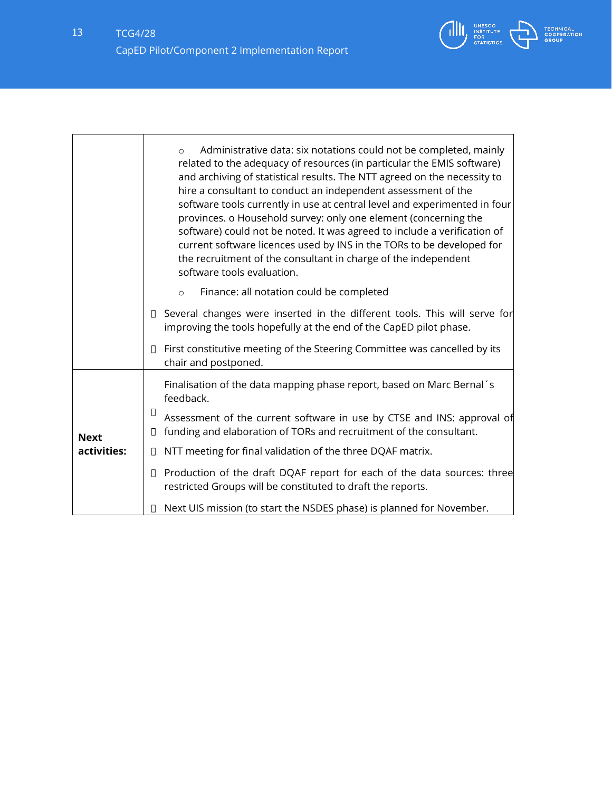

٦

|                            | Administrative data: six notations could not be completed, mainly<br>$\Omega$<br>related to the adequacy of resources (in particular the EMIS software)<br>and archiving of statistical results. The NTT agreed on the necessity to<br>hire a consultant to conduct an independent assessment of the<br>software tools currently in use at central level and experimented in four<br>provinces. o Household survey: only one element (concerning the<br>software) could not be noted. It was agreed to include a verification of<br>current software licences used by INS in the TORs to be developed for<br>the recruitment of the consultant in charge of the independent<br>software tools evaluation. |
|----------------------------|-----------------------------------------------------------------------------------------------------------------------------------------------------------------------------------------------------------------------------------------------------------------------------------------------------------------------------------------------------------------------------------------------------------------------------------------------------------------------------------------------------------------------------------------------------------------------------------------------------------------------------------------------------------------------------------------------------------|
|                            | Finance: all notation could be completed<br>$\circ$                                                                                                                                                                                                                                                                                                                                                                                                                                                                                                                                                                                                                                                       |
|                            | □ Several changes were inserted in the different tools. This will serve for<br>improving the tools hopefully at the end of the CapED pilot phase.                                                                                                                                                                                                                                                                                                                                                                                                                                                                                                                                                         |
|                            | First constitutive meeting of the Steering Committee was cancelled by its<br>$\Box$<br>chair and postponed.                                                                                                                                                                                                                                                                                                                                                                                                                                                                                                                                                                                               |
|                            | Finalisation of the data mapping phase report, based on Marc Bernal's<br>feedback.                                                                                                                                                                                                                                                                                                                                                                                                                                                                                                                                                                                                                        |
| <b>Next</b><br>activities: | ▯<br>Assessment of the current software in use by CTSE and INS: approval of<br>funding and elaboration of TORs and recruitment of the consultant.<br>Л                                                                                                                                                                                                                                                                                                                                                                                                                                                                                                                                                    |
|                            | NTT meeting for final validation of the three DQAF matrix.<br>$\Box$                                                                                                                                                                                                                                                                                                                                                                                                                                                                                                                                                                                                                                      |
|                            | Production of the draft DQAF report for each of the data sources: three<br>$\Box$<br>restricted Groups will be constituted to draft the reports.                                                                                                                                                                                                                                                                                                                                                                                                                                                                                                                                                          |
|                            | Next UIS mission (to start the NSDES phase) is planned for November.                                                                                                                                                                                                                                                                                                                                                                                                                                                                                                                                                                                                                                      |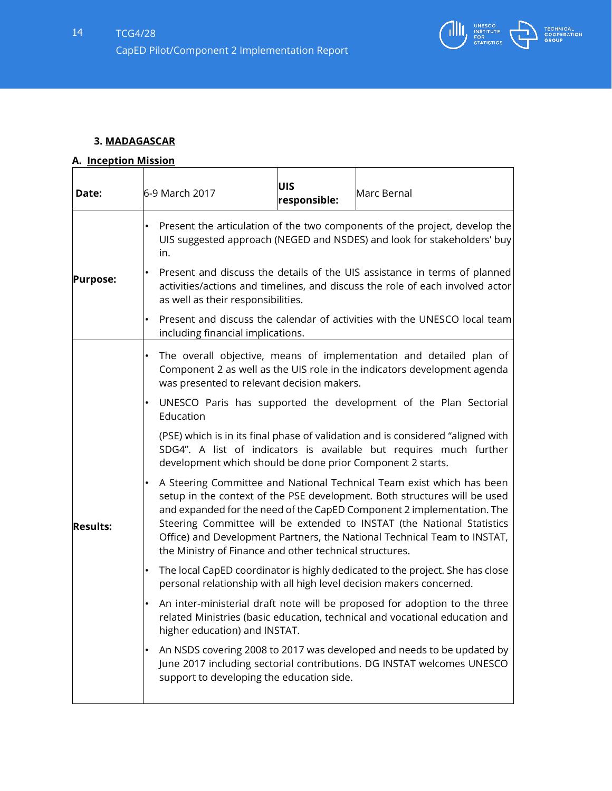

# **3. MADAGASCAR**

# **A. Inception Mission**

| Date:           | 6-9 March 2017                                                                                                                                                                                                                                                                                                                                                                                                                                | UIS<br>responsible: | Marc Bernal                                                               |  |
|-----------------|-----------------------------------------------------------------------------------------------------------------------------------------------------------------------------------------------------------------------------------------------------------------------------------------------------------------------------------------------------------------------------------------------------------------------------------------------|---------------------|---------------------------------------------------------------------------|--|
|                 | Present the articulation of the two components of the project, develop the<br>UIS suggested approach (NEGED and NSDES) and look for stakeholders' buy<br>in.                                                                                                                                                                                                                                                                                  |                     |                                                                           |  |
| <b>Purpose:</b> | Present and discuss the details of the UIS assistance in terms of planned<br>activities/actions and timelines, and discuss the role of each involved actor<br>as well as their responsibilities.                                                                                                                                                                                                                                              |                     |                                                                           |  |
|                 | including financial implications.                                                                                                                                                                                                                                                                                                                                                                                                             |                     | Present and discuss the calendar of activities with the UNESCO local team |  |
|                 | The overall objective, means of implementation and detailed plan of<br>Component 2 as well as the UIS role in the indicators development agenda<br>was presented to relevant decision makers.                                                                                                                                                                                                                                                 |                     |                                                                           |  |
|                 | UNESCO Paris has supported the development of the Plan Sectorial<br>Education                                                                                                                                                                                                                                                                                                                                                                 |                     |                                                                           |  |
| <b>Results:</b> | (PSE) which is in its final phase of validation and is considered "aligned with<br>SDG4". A list of indicators is available but requires much further<br>development which should be done prior Component 2 starts.                                                                                                                                                                                                                           |                     |                                                                           |  |
|                 | A Steering Committee and National Technical Team exist which has been<br>setup in the context of the PSE development. Both structures will be used<br>and expanded for the need of the CapED Component 2 implementation. The<br>Steering Committee will be extended to INSTAT (the National Statistics<br>Office) and Development Partners, the National Technical Team to INSTAT,<br>the Ministry of Finance and other technical structures. |                     |                                                                           |  |
|                 | The local CapED coordinator is highly dedicated to the project. She has close<br>personal relationship with all high level decision makers concerned.                                                                                                                                                                                                                                                                                         |                     |                                                                           |  |
|                 | An inter-ministerial draft note will be proposed for adoption to the three<br>related Ministries (basic education, technical and vocational education and<br>higher education) and INSTAT.                                                                                                                                                                                                                                                    |                     |                                                                           |  |
|                 | An NSDS covering 2008 to 2017 was developed and needs to be updated by<br>June 2017 including sectorial contributions. DG INSTAT welcomes UNESCO<br>support to developing the education side.                                                                                                                                                                                                                                                 |                     |                                                                           |  |
|                 |                                                                                                                                                                                                                                                                                                                                                                                                                                               |                     |                                                                           |  |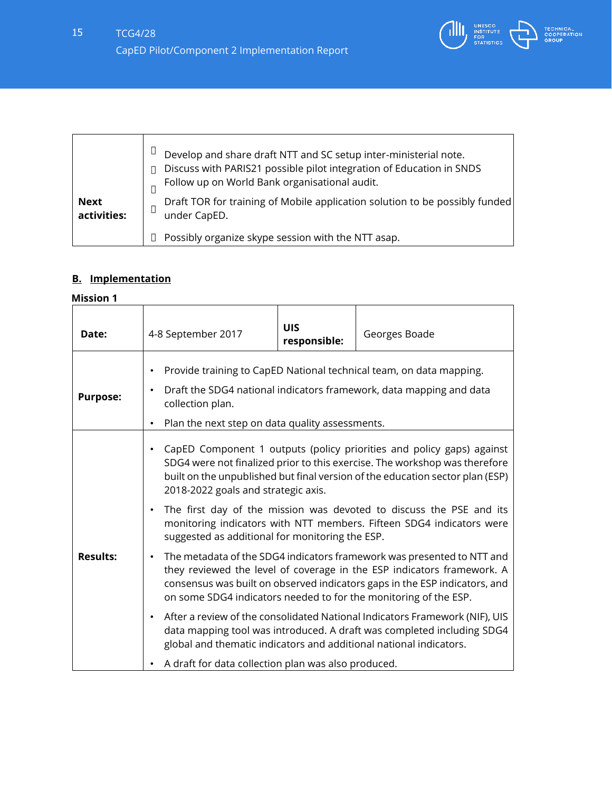

| <b>Next</b><br>activities: | Develop and share draft NTT and SC setup inter-ministerial note.<br>Discuss with PARIS21 possible pilot integration of Education in SNDS<br>Follow up on World Bank organisational audit.<br>Draft TOR for training of Mobile application solution to be possibly funded<br>under CapED. |
|----------------------------|------------------------------------------------------------------------------------------------------------------------------------------------------------------------------------------------------------------------------------------------------------------------------------------|
|                            | Possibly organize skype session with the NTT asap.                                                                                                                                                                                                                                       |

# **B. Implementation**

| Date:           | 4-8 September 2017                                                                                                                                                                                                                                                                                                                                                                                                                                   | <b>UIS</b><br>responsible: | Georges Boade                                                                                                                                         |
|-----------------|------------------------------------------------------------------------------------------------------------------------------------------------------------------------------------------------------------------------------------------------------------------------------------------------------------------------------------------------------------------------------------------------------------------------------------------------------|----------------------------|-------------------------------------------------------------------------------------------------------------------------------------------------------|
| <b>Purpose:</b> | Provide training to CapED National technical team, on data mapping.<br>٠<br>Draft the SDG4 national indicators framework, data mapping and data<br>$\bullet$<br>collection plan.<br>Plan the next step on data quality assessments.                                                                                                                                                                                                                  |                            |                                                                                                                                                       |
|                 | CapED Component 1 outputs (policy priorities and policy gaps) against<br>$\bullet$<br>SDG4 were not finalized prior to this exercise. The workshop was therefore<br>built on the unpublished but final version of the education sector plan (ESP)<br>2018-2022 goals and strategic axis.<br>The first day of the mission was devoted to discuss the PSE and its<br>$\bullet$<br>monitoring indicators with NTT members. Fifteen SDG4 indicators were |                            |                                                                                                                                                       |
| <b>Results:</b> | suggested as additional for monitoring the ESP.<br>The metadata of the SDG4 indicators framework was presented to NTT and<br>$\bullet$<br>they reviewed the level of coverage in the ESP indicators framework. A<br>consensus was built on observed indicators gaps in the ESP indicators, and<br>on some SDG4 indicators needed to for the monitoring of the ESP.                                                                                   |                            |                                                                                                                                                       |
|                 | $\bullet$<br>global and thematic indicators and additional national indicators.<br>A draft for data collection plan was also produced.                                                                                                                                                                                                                                                                                                               |                            | After a review of the consolidated National Indicators Framework (NIF), UIS<br>data mapping tool was introduced. A draft was completed including SDG4 |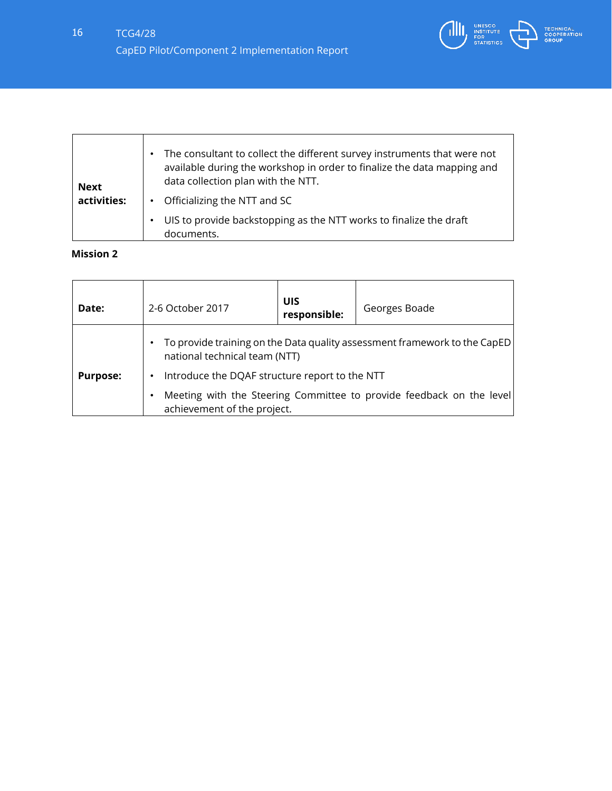

| <b>Next</b> | The consultant to collect the different survey instruments that were not<br>available during the workshop in order to finalize the data mapping and<br>data collection plan with the NTT. |
|-------------|-------------------------------------------------------------------------------------------------------------------------------------------------------------------------------------------|
| activities: | Officializing the NTT and SC                                                                                                                                                              |
|             | UIS to provide backstopping as the NTT works to finalize the draft<br>documents.                                                                                                          |

| Date:           | 2-6 October 2017                                                                                                                                             | UIS<br>responsible:                                                                                 | Georges Boade |
|-----------------|--------------------------------------------------------------------------------------------------------------------------------------------------------------|-----------------------------------------------------------------------------------------------------|---------------|
|                 | To provide training on the Data quality assessment framework to the CapED<br>national technical team (NTT)<br>Introduce the DQAF structure report to the NTT |                                                                                                     |               |
| <b>Purpose:</b> |                                                                                                                                                              |                                                                                                     |               |
|                 |                                                                                                                                                              | Meeting with the Steering Committee to provide feedback on the level<br>achievement of the project. |               |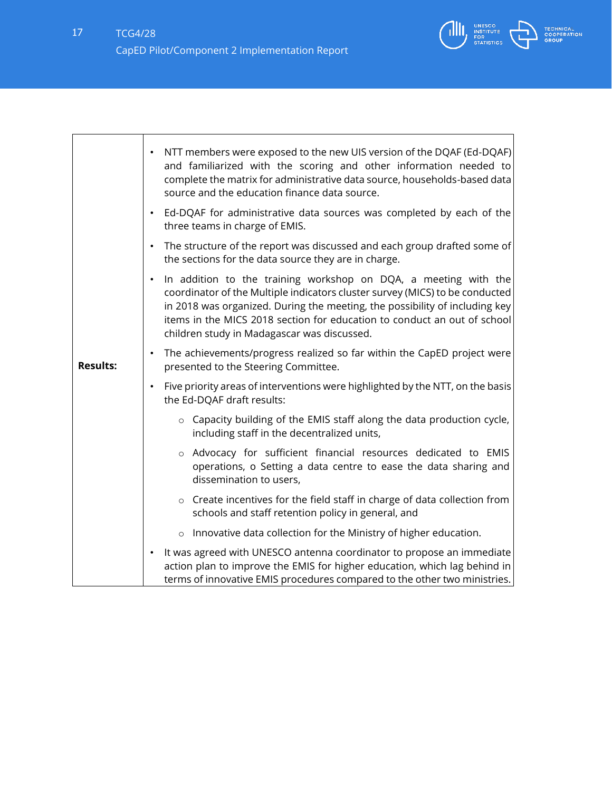

|                 | NTT members were exposed to the new UIS version of the DQAF (Ed-DQAF)<br>$\bullet$<br>and familiarized with the scoring and other information needed to<br>complete the matrix for administrative data source, households-based data<br>source and the education finance data source.                                                                                  |
|-----------------|------------------------------------------------------------------------------------------------------------------------------------------------------------------------------------------------------------------------------------------------------------------------------------------------------------------------------------------------------------------------|
|                 | Ed-DQAF for administrative data sources was completed by each of the<br>$\bullet$<br>three teams in charge of EMIS.                                                                                                                                                                                                                                                    |
|                 | The structure of the report was discussed and each group drafted some of<br>$\bullet$<br>the sections for the data source they are in charge.                                                                                                                                                                                                                          |
|                 | In addition to the training workshop on DQA, a meeting with the<br>$\bullet$<br>coordinator of the Multiple indicators cluster survey (MICS) to be conducted<br>in 2018 was organized. During the meeting, the possibility of including key<br>items in the MICS 2018 section for education to conduct an out of school<br>children study in Madagascar was discussed. |
| <b>Results:</b> | The achievements/progress realized so far within the CapED project were<br>$\bullet$<br>presented to the Steering Committee.                                                                                                                                                                                                                                           |
|                 | Five priority areas of interventions were highlighted by the NTT, on the basis<br>$\bullet$<br>the Ed-DQAF draft results:                                                                                                                                                                                                                                              |
|                 | o Capacity building of the EMIS staff along the data production cycle,<br>including staff in the decentralized units,                                                                                                                                                                                                                                                  |
|                 | o Advocacy for sufficient financial resources dedicated to EMIS<br>operations, o Setting a data centre to ease the data sharing and<br>dissemination to users,                                                                                                                                                                                                         |
|                 | o Create incentives for the field staff in charge of data collection from<br>schools and staff retention policy in general, and                                                                                                                                                                                                                                        |
|                 | o Innovative data collection for the Ministry of higher education.                                                                                                                                                                                                                                                                                                     |
|                 | It was agreed with UNESCO antenna coordinator to propose an immediate<br>$\bullet$<br>action plan to improve the EMIS for higher education, which lag behind in<br>terms of innovative EMIS procedures compared to the other two ministries.                                                                                                                           |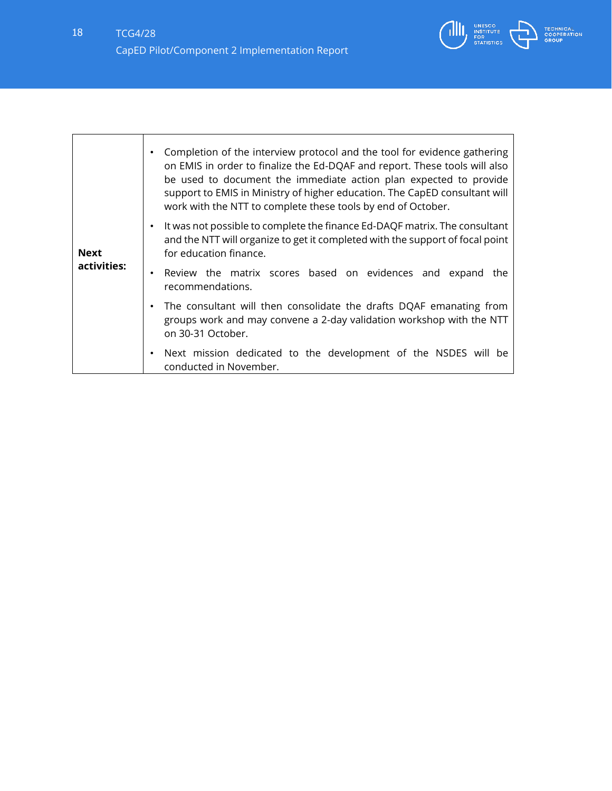

| <b>Next</b><br>activities: | Completion of the interview protocol and the tool for evidence gathering<br>٠<br>on EMIS in order to finalize the Ed-DQAF and report. These tools will also<br>be used to document the immediate action plan expected to provide<br>support to EMIS in Ministry of higher education. The CapED consultant will<br>work with the NTT to complete these tools by end of October. |
|----------------------------|--------------------------------------------------------------------------------------------------------------------------------------------------------------------------------------------------------------------------------------------------------------------------------------------------------------------------------------------------------------------------------|
|                            | It was not possible to complete the finance Ed-DAQF matrix. The consultant<br>٠<br>and the NTT will organize to get it completed with the support of focal point<br>for education finance.                                                                                                                                                                                     |
|                            | Review the matrix scores based on evidences and expand the<br>$\bullet$<br>recommendations.                                                                                                                                                                                                                                                                                    |
|                            | The consultant will then consolidate the drafts DQAF emanating from<br>$\bullet$<br>groups work and may convene a 2-day validation workshop with the NTT<br>on 30-31 October.                                                                                                                                                                                                  |
|                            | Next mission dedicated to the development of the NSDES will be<br>٠<br>conducted in November.                                                                                                                                                                                                                                                                                  |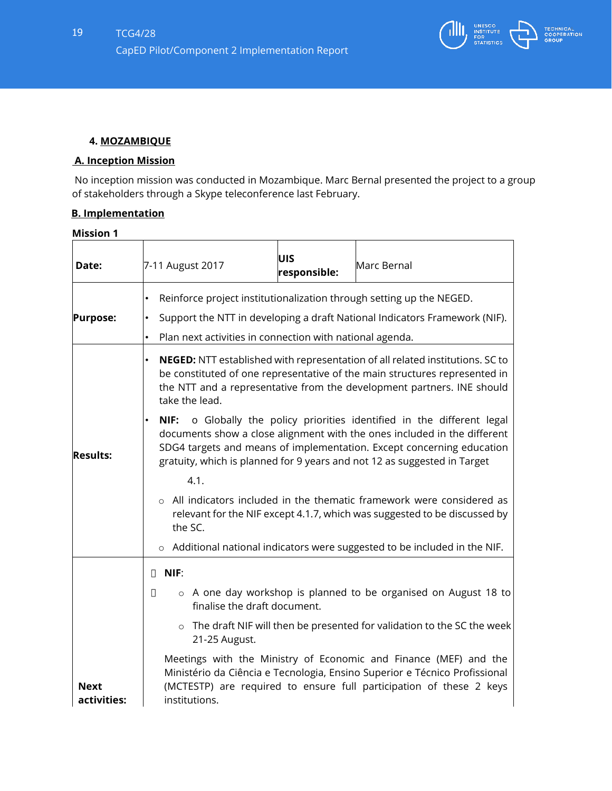

#### **4. MOZAMBIQUE**

#### **A. Inception Mission**

No inception mission was conducted in Mozambique. Marc Bernal presented the project to a group of stakeholders through a Skype teleconference last February.

### **B. Implementation**

| Date:                      | 7-11 August 2017                                                                                                                                                                                                                                                                                                                                                                                                                                                                                                                                                 | UIS<br>responsible: | Marc Bernal |  |
|----------------------------|------------------------------------------------------------------------------------------------------------------------------------------------------------------------------------------------------------------------------------------------------------------------------------------------------------------------------------------------------------------------------------------------------------------------------------------------------------------------------------------------------------------------------------------------------------------|---------------------|-------------|--|
| <b>Purpose:</b>            | Reinforce project institutionalization through setting up the NEGED.<br>٠<br>Support the NTT in developing a draft National Indicators Framework (NIF).<br>٠<br>Plan next activities in connection with national agenda.                                                                                                                                                                                                                                                                                                                                         |                     |             |  |
|                            | NEGED: NTT established with representation of all related institutions. SC to<br>be constituted of one representative of the main structures represented in<br>the NTT and a representative from the development partners. INE should<br>take the lead.                                                                                                                                                                                                                                                                                                          |                     |             |  |
| <b>Results:</b>            | NIF: o Globally the policy priorities identified in the different legal<br>documents show a close alignment with the ones included in the different<br>SDG4 targets and means of implementation. Except concerning education<br>gratuity, which is planned for 9 years and not 12 as suggested in Target<br>4.1.<br>o All indicators included in the thematic framework were considered as<br>relevant for the NIF except 4.1.7, which was suggested to be discussed by<br>the SC.<br>o Additional national indicators were suggested to be included in the NIF. |                     |             |  |
|                            |                                                                                                                                                                                                                                                                                                                                                                                                                                                                                                                                                                  |                     |             |  |
|                            |                                                                                                                                                                                                                                                                                                                                                                                                                                                                                                                                                                  |                     |             |  |
|                            | NIF:<br>$\Box$                                                                                                                                                                                                                                                                                                                                                                                                                                                                                                                                                   |                     |             |  |
|                            | o A one day workshop is planned to be organised on August 18 to<br>$\Box$<br>finalise the draft document.                                                                                                                                                                                                                                                                                                                                                                                                                                                        |                     |             |  |
|                            | o The draft NIF will then be presented for validation to the SC the week<br>21-25 August.                                                                                                                                                                                                                                                                                                                                                                                                                                                                        |                     |             |  |
| <b>Next</b><br>activities: | Meetings with the Ministry of Economic and Finance (MEF) and the<br>Ministério da Ciência e Tecnologia, Ensino Superior e Técnico Profissional<br>(MCTESTP) are required to ensure full participation of these 2 keys<br>institutions.                                                                                                                                                                                                                                                                                                                           |                     |             |  |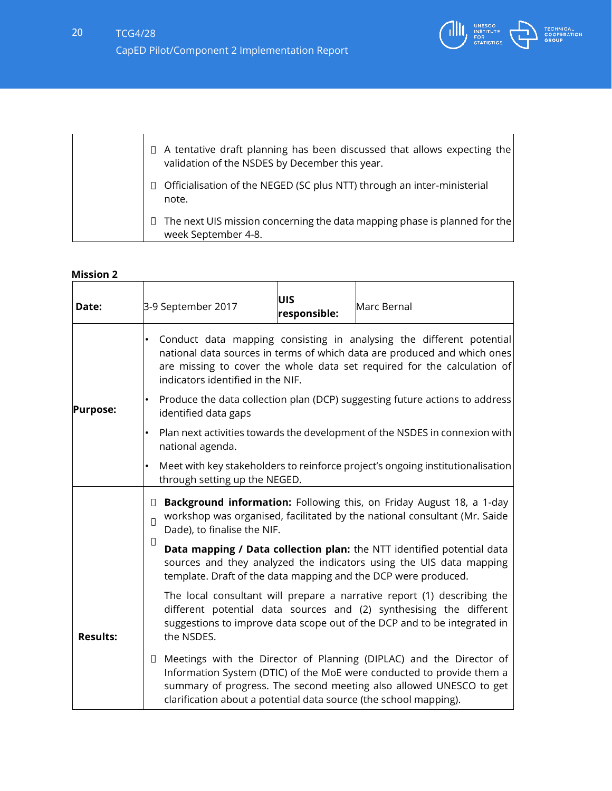

|  | $\Box$ A tentative draft planning has been discussed that allows expecting the<br>validation of the NSDES by December this year. |  |
|--|----------------------------------------------------------------------------------------------------------------------------------|--|
|  | Officialisation of the NEGED (SC plus NTT) through an inter-ministerial<br>note.                                                 |  |
|  | The next UIS mission concerning the data mapping phase is planned for the<br>week September 4-8.                                 |  |

| Date:           | 3-9 September 2017                                                                                                                                                                                                                                               | UIS<br>responsible: | Marc Bernal                                                                                                                                                                                                                |
|-----------------|------------------------------------------------------------------------------------------------------------------------------------------------------------------------------------------------------------------------------------------------------------------|---------------------|----------------------------------------------------------------------------------------------------------------------------------------------------------------------------------------------------------------------------|
|                 | Conduct data mapping consisting in analysing the different potential<br>national data sources in terms of which data are produced and which ones<br>are missing to cover the whole data set required for the calculation of<br>indicators identified in the NIF. |                     |                                                                                                                                                                                                                            |
| <b>Purpose:</b> | identified data gaps                                                                                                                                                                                                                                             |                     | Produce the data collection plan (DCP) suggesting future actions to address                                                                                                                                                |
|                 | national agenda.                                                                                                                                                                                                                                                 |                     | Plan next activities towards the development of the NSDES in connexion with                                                                                                                                                |
|                 | through setting up the NEGED.                                                                                                                                                                                                                                    |                     | Meet with key stakeholders to reinforce project's ongoing institutionalisation                                                                                                                                             |
|                 | Background information: Following this, on Friday August 18, a 1-day<br>$\Box$<br>workshop was organised, facilitated by the national consultant (Mr. Saide<br>$\Box$<br>Dade), to finalise the NIF.                                                             |                     |                                                                                                                                                                                                                            |
|                 | $\Box$                                                                                                                                                                                                                                                           |                     | Data mapping / Data collection plan: the NTT identified potential data<br>sources and they analyzed the indicators using the UIS data mapping<br>template. Draft of the data mapping and the DCP were produced.            |
| <b>Results:</b> | the NSDES.                                                                                                                                                                                                                                                       |                     | The local consultant will prepare a narrative report (1) describing the<br>different potential data sources and (2) synthesising the different<br>suggestions to improve data scope out of the DCP and to be integrated in |
|                 | $\Box$<br>clarification about a potential data source (the school mapping).                                                                                                                                                                                      |                     | Meetings with the Director of Planning (DIPLAC) and the Director of<br>Information System (DTIC) of the MoE were conducted to provide them a<br>summary of progress. The second meeting also allowed UNESCO to get         |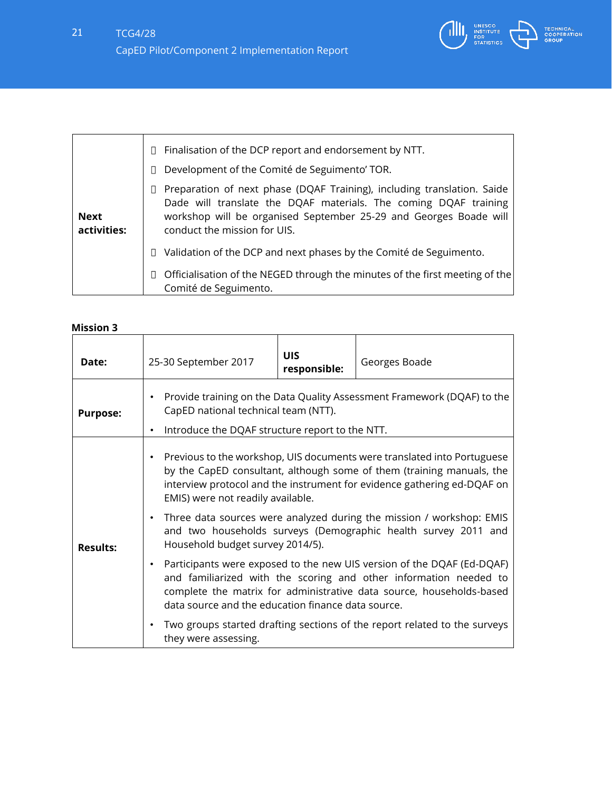

|                            | Finalisation of the DCP report and endorsement by NTT.<br>$\Box$<br>Development of the Comité de Seguimento' TOR.<br>П                                                                                                                                |
|----------------------------|-------------------------------------------------------------------------------------------------------------------------------------------------------------------------------------------------------------------------------------------------------|
| <b>Next</b><br>activities: | Preparation of next phase (DQAF Training), including translation. Saide<br>Ш<br>Dade will translate the DQAF materials. The coming DQAF training<br>workshop will be organised September 25-29 and Georges Boade will<br>conduct the mission for UIS. |
|                            | Validation of the DCP and next phases by the Comité de Seguimento.<br>$\Box$                                                                                                                                                                          |
|                            | Officialisation of the NEGED through the minutes of the first meeting of the<br>Comité de Seguimento.                                                                                                                                                 |

| Date:           | 25-30 September 2017                                                                                                                                                                         | <b>UIS</b><br>responsible: | Georges Boade                                                                                                                                                                                                               |
|-----------------|----------------------------------------------------------------------------------------------------------------------------------------------------------------------------------------------|----------------------------|-----------------------------------------------------------------------------------------------------------------------------------------------------------------------------------------------------------------------------|
| <b>Purpose:</b> | Provide training on the Data Quality Assessment Framework (DQAF) to the<br>$\bullet$<br>CapED national technical team (NTT).<br>Introduce the DQAF structure report to the NTT.<br>$\bullet$ |                            |                                                                                                                                                                                                                             |
|                 | $\bullet$<br>EMIS) were not readily available.                                                                                                                                               |                            | Previous to the workshop, UIS documents were translated into Portuguese<br>by the CapED consultant, although some of them (training manuals, the<br>interview protocol and the instrument for evidence gathering ed-DQAF on |
| <b>Results:</b> | $\bullet$<br>Household budget survey 2014/5).                                                                                                                                                |                            | Three data sources were analyzed during the mission / workshop: EMIS<br>and two households surveys (Demographic health survey 2011 and                                                                                      |
|                 | $\bullet$<br>data source and the education finance data source.                                                                                                                              |                            | Participants were exposed to the new UIS version of the DQAF (Ed-DQAF)<br>and familiarized with the scoring and other information needed to<br>complete the matrix for administrative data source, households-based         |
|                 | they were assessing.                                                                                                                                                                         |                            | Two groups started drafting sections of the report related to the surveys                                                                                                                                                   |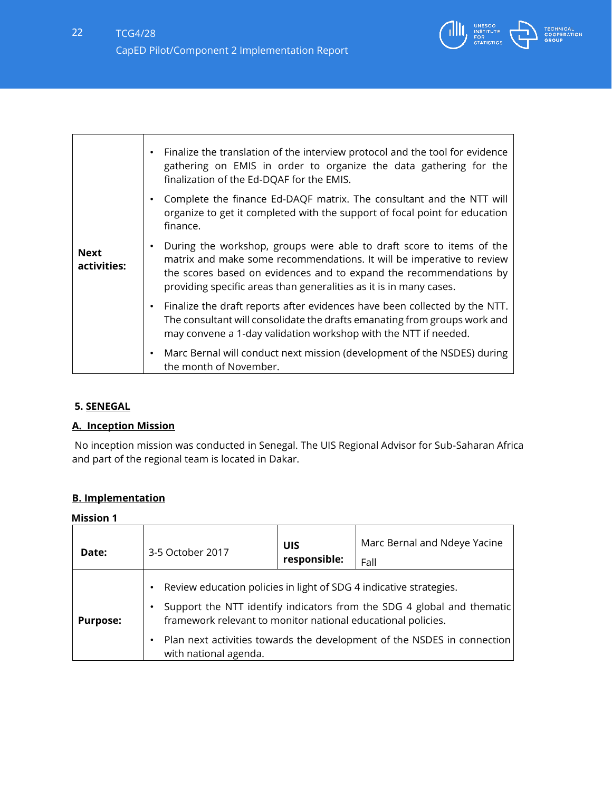

|                            | Finalize the translation of the interview protocol and the tool for evidence<br>$\bullet$<br>gathering on EMIS in order to organize the data gathering for the<br>finalization of the Ed-DQAF for the EMIS.                                                                                            |
|----------------------------|--------------------------------------------------------------------------------------------------------------------------------------------------------------------------------------------------------------------------------------------------------------------------------------------------------|
|                            | Complete the finance Ed-DAQF matrix. The consultant and the NTT will<br>٠<br>organize to get it completed with the support of focal point for education<br>finance.                                                                                                                                    |
| <b>Next</b><br>activities: | During the workshop, groups were able to draft score to items of the<br>$\bullet$<br>matrix and make some recommendations. It will be imperative to review<br>the scores based on evidences and to expand the recommendations by<br>providing specific areas than generalities as it is in many cases. |
|                            | Finalize the draft reports after evidences have been collected by the NTT.<br>$\bullet$<br>The consultant will consolidate the drafts emanating from groups work and<br>may convene a 1-day validation workshop with the NTT if needed.                                                                |
|                            | Marc Bernal will conduct next mission (development of the NSDES) during<br>$\bullet$<br>the month of November.                                                                                                                                                                                         |

### **5. SENEGAL**

 $\Gamma$ 

### **A. Inception Mission**

No inception mission was conducted in Senegal. The UIS Regional Advisor for Sub-Saharan Africa and part of the regional team is located in Dakar.

### **B. Implementation**

| Date:           | 3-5 October 2017                                                                                                                                            | UIS<br>responsible: | Marc Bernal and Ndeye Yacine<br>Fall                                                                                                              |
|-----------------|-------------------------------------------------------------------------------------------------------------------------------------------------------------|---------------------|---------------------------------------------------------------------------------------------------------------------------------------------------|
| <b>Purpose:</b> | Review education policies in light of SDG 4 indicative strategies.<br>framework relevant to monitor national educational policies.<br>with national agenda. |                     | Support the NTT identify indicators from the SDG 4 global and thematic<br>Plan next activities towards the development of the NSDES in connection |